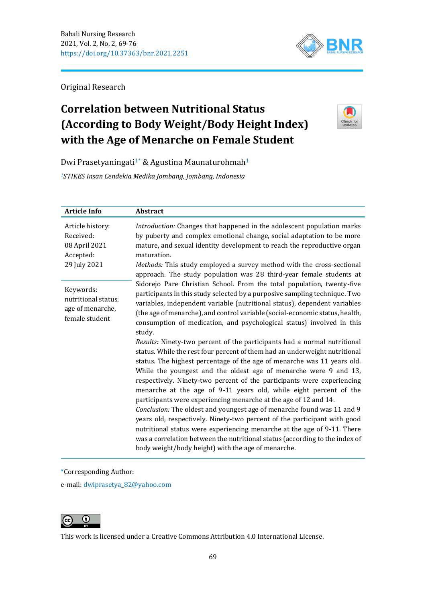

Original Research

# **Correlation between Nutritional Status (According to Body Weight/Body Height Index) with the Age of Menarche on Female Student**



Dwi Prasetyaningati<sup>1</sup>\* & Agustina Maunaturohmah<sup>1</sup>

*<sup>1</sup>STIKES Insan Cendekia Medika Jombang, Jombang, Indonesia*

| <b>Article Info</b>                                                         | <b>Abstract</b>                                                                                                                                                                                                                                                                                                                                                                                                                                                                                                                                                                                                                                                                                                                                                                                                                                                                                                                  |
|-----------------------------------------------------------------------------|----------------------------------------------------------------------------------------------------------------------------------------------------------------------------------------------------------------------------------------------------------------------------------------------------------------------------------------------------------------------------------------------------------------------------------------------------------------------------------------------------------------------------------------------------------------------------------------------------------------------------------------------------------------------------------------------------------------------------------------------------------------------------------------------------------------------------------------------------------------------------------------------------------------------------------|
| Article history:<br>Received:<br>08 April 2021<br>Accepted:<br>29 July 2021 | Introduction: Changes that happened in the adolescent population marks<br>by puberty and complex emotional change, social adaptation to be more<br>mature, and sexual identity development to reach the reproductive organ<br>maturation.<br>Methods: This study employed a survey method with the cross-sectional<br>approach. The study population was 28 third-year female students at                                                                                                                                                                                                                                                                                                                                                                                                                                                                                                                                        |
| Keywords:<br>nutritional status,<br>age of menarche,<br>female student      | Sidorejo Pare Christian School. From the total population, twenty-five<br>participants in this study selected by a purposive sampling technique. Two<br>variables, independent variable (nutritional status), dependent variables<br>(the age of menarche), and control variable (social-economic status, health,<br>consumption of medication, and psychological status) involved in this<br>study.<br>Results: Ninety-two percent of the participants had a normal nutritional<br>status. While the rest four percent of them had an underweight nutritional<br>status. The highest percentage of the age of menarche was 11 years old.<br>While the youngest and the oldest age of menarche were 9 and 13,<br>respectively. Ninety-two percent of the participants were experiencing<br>menarche at the age of 9-11 years old, while eight percent of the<br>participants were experiencing menarche at the age of 12 and 14. |
|                                                                             | Conclusion: The oldest and youngest age of menarche found was 11 and 9<br>years old, respectively. Ninety-two percent of the participant with good<br>nutritional status were experiencing menarche at the age of 9-11. There<br>was a correlation between the nutritional status (according to the index of<br>body weight/body height) with the age of menarche.                                                                                                                                                                                                                                                                                                                                                                                                                                                                                                                                                               |

\*Corresponding Author:

e-mail: [dwiprasetya\\_82@yahoo.com](mailto:dwiprasetya_82@yahoo.com)



This work is licensed under a [Creative Commons Attribution 4.0 International License.](https://creativecommons.org/licenses/by/4.0/)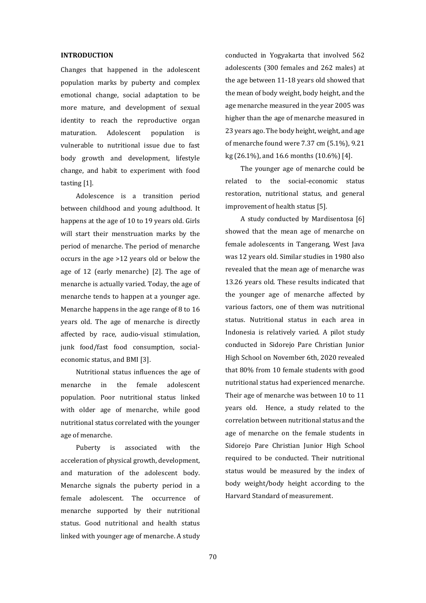### **INTRODUCTION**

Changes that happened in the adolescent population marks by puberty and complex emotional change, social adaptation to be more mature, and development of sexual identity to reach the reproductive organ maturation. Adolescent population is vulnerable to nutritional issue due to fast body growth and development, lifestyle change, and habit to experiment with food tasting [1].

Adolescence is a transition period between childhood and young adulthood. It happens at the age of 10 to 19 years old. Girls will start their menstruation marks by the period of menarche. The period of menarche occurs in the age >12 years old or below the age of 12 (early menarche) [2]. The age of menarche is actually varied. Today, the age of menarche tends to happen at a younger age. Menarche happens in the age range of 8 to 16 years old. The age of menarche is directly affected by race, audio-visual stimulation, junk food/fast food consumption, socialeconomic status, and BMI [3].

Nutritional status influences the age of menarche in the female adolescent population. Poor nutritional status linked with older age of menarche, while good nutritional status correlated with the younger age of menarche.

Puberty is associated with the acceleration of physical growth, development, and maturation of the adolescent body. Menarche signals the puberty period in a female adolescent. The occurrence of menarche supported by their nutritional status. Good nutritional and health status linked with younger age of menarche. A study

conducted in Yogyakarta that involved 562 adolescents (300 females and 262 males) at the age between 11-18 years old showed that the mean of body weight, body height, and the age menarche measured in the year 2005 was higher than the age of menarche measured in 23 years ago. The body height, weight, and age of menarche found were 7.37 cm (5.1%), 9.21 kg (26.1%), and 16.6 months (10.6%) [4].

The younger age of menarche could be related to the social-economic status restoration, nutritional status, and general improvement of health status [5].

A study conducted by Mardisentosa [6] showed that the mean age of menarche on female adolescents in Tangerang, West Java was 12 years old. Similar studies in 1980 also revealed that the mean age of menarche was 13.26 years old. These results indicated that the younger age of menarche affected by various factors, one of them was nutritional status. Nutritional status in each area in Indonesia is relatively varied. A pilot study conducted in Sidorejo Pare Christian Junior High School on November 6th, 2020 revealed that 80% from 10 female students with good nutritional status had experienced menarche. Their age of menarche was between 10 to 11 years old. Hence, a study related to the correlation between nutritional status and the age of menarche on the female students in Sidorejo Pare Christian Junior High School required to be conducted. Their nutritional status would be measured by the index of body weight/body height according to the Harvard Standard of measurement.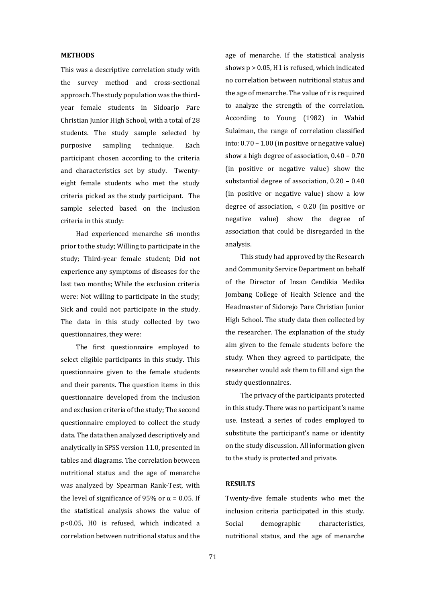## **METHODS**

This was a descriptive correlation study with the survey method and cross-sectional approach. The study population was the thirdyear female students in Sidoarjo Pare Christian Junior High School, with a total of 28 students. The study sample selected by purposive sampling technique. Each participant chosen according to the criteria and characteristics set by study. Twentyeight female students who met the study criteria picked as the study participant. The sample selected based on the inclusion criteria in this study:

Had experienced menarche ≤6 months prior to the study; Willing to participate in the study; Third-year female student; Did not experience any symptoms of diseases for the last two months; While the exclusion criteria were: Not willing to participate in the study; Sick and could not participate in the study. The data in this study collected by two questionnaires, they were:

The first questionnaire employed to select eligible participants in this study. This questionnaire given to the female students and their parents. The question items in this questionnaire developed from the inclusion and exclusion criteria of the study; The second questionnaire employed to collect the study data. The data then analyzed descriptively and analytically in SPSS version 11.0, presented in tables and diagrams. The correlation between nutritional status and the age of menarche was analyzed by Spearman Rank-Test, with the level of significance of 95% or  $\alpha$  = 0.05. If the statistical analysis shows the value of p<0.05, H0 is refused, which indicated a correlation between nutritional status and the

age of menarche. If the statistical analysis shows p > 0.05, H1 is refused, which indicated no correlation between nutritional status and the age of menarche. The value of r is required to analyze the strength of the correlation. According to Young (1982) in Wahid Sulaiman, the range of correlation classified into: 0.70 – 1.00 (in positive or negative value) show a high degree of association, 0.40 – 0.70 (in positive or negative value) show the substantial degree of association, 0.20 – 0.40 (in positive or negative value) show a low degree of association, < 0.20 (in positive or negative value) show the degree of association that could be disregarded in the analysis.

This study had approved by the Research and Community Service Department on behalf of the Director of Insan Cendikia Medika Jombang College of Health Science and the Headmaster of Sidorejo Pare Christian Junior High School. The study data then collected by the researcher. The explanation of the study aim given to the female students before the study. When they agreed to participate, the researcher would ask them to fill and sign the study questionnaires.

The privacy of the participants protected in this study. There was no participant's name use. Instead, a series of codes employed to substitute the participant's name or identity on the study discussion. All information given to the study is protected and private.

## **RESULTS**

Twenty-five female students who met the inclusion criteria participated in this study. Social demographic characteristics, nutritional status, and the age of menarche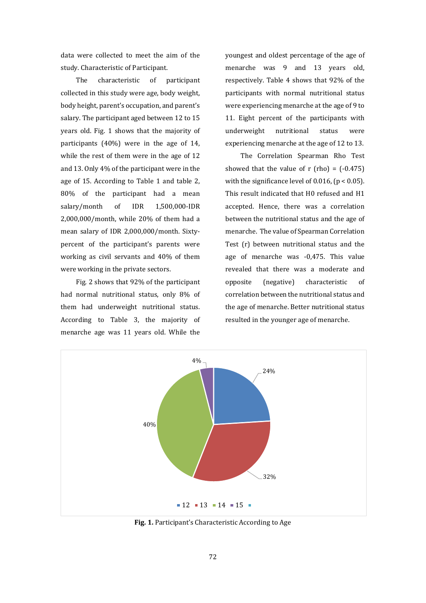data were collected to meet the aim of the study. Characteristic of Participant.

The characteristic of participant collected in this study were age, body weight, body height, parent's occupation, and parent's salary. The participant aged between 12 to 15 years old. Fig. 1 shows that the majority of participants (40%) were in the age of 14, while the rest of them were in the age of 12 and 13. Only 4% of the participant were in the age of 15. According to Table 1 and table 2, 80% of the participant had a mean salary/month of IDR 1,500,000-IDR 2,000,000/month, while 20% of them had a mean salary of IDR 2,000,000/month. Sixtypercent of the participant's parents were working as civil servants and 40% of them were working in the private sectors.

Fig. 2 shows that 92% of the participant had normal nutritional status, only 8% of them had underweight nutritional status. According to Table 3, the majority of menarche age was 11 years old. While the

youngest and oldest percentage of the age of menarche was 9 and 13 years old, respectively. Table 4 shows that 92% of the participants with normal nutritional status were experiencing menarche at the age of 9 to 11. Eight percent of the participants with underweight nutritional status were experiencing menarche at the age of 12 to 13.

The Correlation Spearman Rho Test showed that the value of  $r$  (rho) =  $(-0.475)$ with the significance level of 0.016,  $(p < 0.05)$ . This result indicated that H0 refused and H1 accepted. Hence, there was a correlation between the nutritional status and the age of menarche. The value of Spearman Correlation Test (r) between nutritional status and the age of menarche was -0,475. This value revealed that there was a moderate and opposite (negative) characteristic of correlation between the nutritional status and the age of menarche. Better nutritional status resulted in the younger age of menarche.



**Fig. 1.** Participant's Characteristic According to Age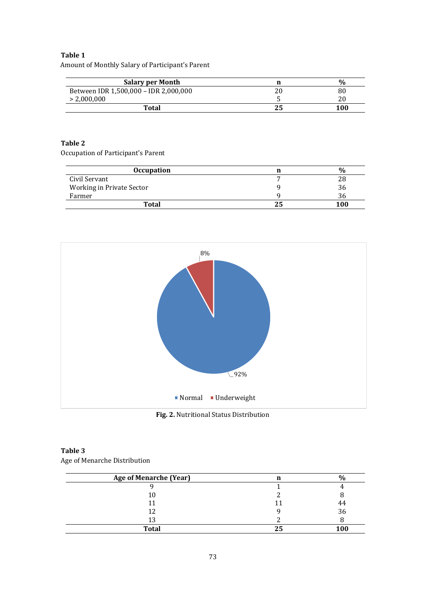# **Table 1**

Amount of Monthly Salary of Participant's Parent

| <b>Salary per Month</b>               | $\frac{0}{0}$ |
|---------------------------------------|---------------|
| Between IDR 1,500,000 - IDR 2,000,000 | 80            |
| > 2,000,000                           |               |
| <b>Total</b>                          | 100           |

## **Table 2**

Occupation of Participant's Parent

| <b>Occupation</b>         | $\frac{0}{6}$ |
|---------------------------|---------------|
| Civil Servant             |               |
| Working in Private Sector | 36.           |
| Farmer                    | 36            |
| <b>Total</b>              | 100           |



**Fig. 2.** Nutritional Status Distribution

# **Table 3** Age of Menarche Distribution

| <b>Age of Menarche (Year)</b> |            |
|-------------------------------|------------|
|                               |            |
|                               |            |
|                               | 44         |
|                               | 36         |
|                               |            |
| <b>Total</b>                  | <b>100</b> |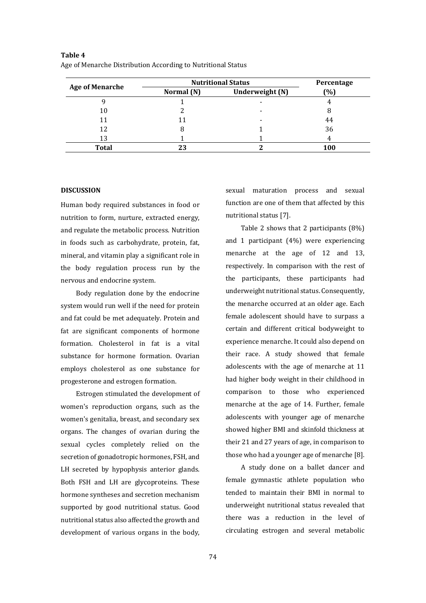| <b>Age of Menarche</b> | <b>Nutritional Status</b> |                 | Percentage |
|------------------------|---------------------------|-----------------|------------|
|                        | Normal (N)                | Underweight (N) | (%)        |
|                        |                           |                 |            |
| 10                     |                           |                 | 8          |
| 11                     |                           |                 | 44         |
| 12                     |                           |                 | 36         |
| 13                     |                           |                 |            |
| <b>Total</b>           | 23                        |                 | 100        |

**Table 4** Age of Menarche Distribution According to Nutritional Status

#### **DISCUSSION**

Human body required substances in food or nutrition to form, nurture, extracted energy, and regulate the metabolic process. Nutrition in foods such as carbohydrate, protein, fat, mineral, and vitamin play a significant role in the body regulation process run by the nervous and endocrine system.

Body regulation done by the endocrine system would run well if the need for protein and fat could be met adequately. Protein and fat are significant components of hormone formation. Cholesterol in fat is a vital substance for hormone formation. Ovarian employs cholesterol as one substance for progesterone and estrogen formation.

Estrogen stimulated the development of women's reproduction organs, such as the women's genitalia, breast, and secondary sex organs. The changes of ovarian during the sexual cycles completely relied on the secretion of gonadotropic hormones, FSH, and LH secreted by hypophysis anterior glands. Both FSH and LH are glycoproteins. These hormone syntheses and secretion mechanism supported by good nutritional status. Good nutritional status also affected the growth and development of various organs in the body,

sexual maturation process and sexual function are one of them that affected by this nutritional status [7].

Table 2 shows that 2 participants (8%) and 1 participant (4%) were experiencing menarche at the age of 12 and 13, respectively. In comparison with the rest of the participants, these participants had underweight nutritional status. Consequently, the menarche occurred at an older age. Each female adolescent should have to surpass a certain and different critical bodyweight to experience menarche. It could also depend on their race. A study showed that female adolescents with the age of menarche at 11 had higher body weight in their childhood in comparison to those who experienced menarche at the age of 14. Further, female adolescents with younger age of menarche showed higher BMI and skinfold thickness at their 21 and 27 years of age, in comparison to those who had a younger age of menarche [8].

A study done on a ballet dancer and female gymnastic athlete population who tended to maintain their BMI in normal to underweight nutritional status revealed that there was a reduction in the level of circulating estrogen and several metabolic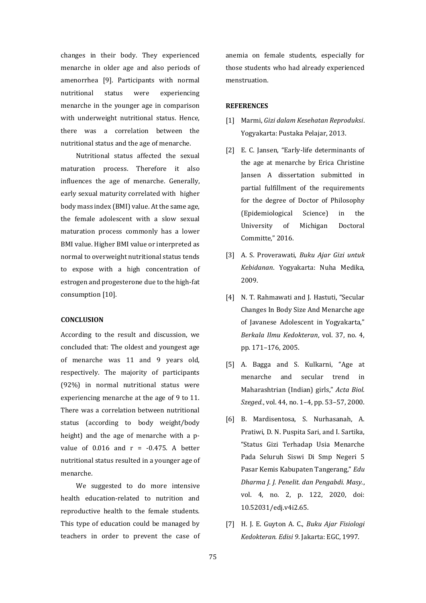changes in their body. They experienced menarche in older age and also periods of amenorrhea [9]. Participants with normal nutritional status were experiencing menarche in the younger age in comparison with underweight nutritional status. Hence, there was a correlation between the nutritional status and the age of menarche.

Nutritional status affected the sexual maturation process. Therefore it also influences the age of menarche. Generally, early sexual maturity correlated with higher body mass index (BMI) value. At the same age, the female adolescent with a slow sexual maturation process commonly has a lower BMI value. Higher BMI value or interpreted as normal to overweight nutritional status tends to expose with a high concentration of estrogen and progesterone due to the high-fat consumption [10].

### **CONCLUSION**

According to the result and discussion, we concluded that: The oldest and youngest age of menarche was 11 and 9 years old, respectively. The majority of participants (92%) in normal nutritional status were experiencing menarche at the age of 9 to 11. There was a correlation between nutritional status (according to body weight/body height) and the age of menarche with a pvalue of  $0.016$  and  $r = -0.475$ . A better nutritional status resulted in a younger age of menarche.

We suggested to do more intensive health education-related to nutrition and reproductive health to the female students. This type of education could be managed by teachers in order to prevent the case of anemia on female students, especially for those students who had already experienced menstruation.

#### **REFERENCES**

- [1] Marmi, *Gizi dalam Kesehatan Reproduksi*. Yogyakarta: Pustaka Pelajar, 2013.
- [2] E. C. Jansen, "Early-life determinants of the age at menarche by Erica Christine Jansen A dissertation submitted in partial fulfillment of the requirements for the degree of Doctor of Philosophy (Epidemiological Science) in the University of Michigan Doctoral Committe," 2016.
- [3] A. S. Proverawati, *Buku Ajar Gizi untuk Kebidanan*. Yogyakarta: Nuha Medika, 2009.
- [4] N. T. Rahmawati and J. Hastuti, "Secular Changes In Body Size And Menarche age of Javanese Adolescent in Yogyakarta," *Berkala Ilmu Kedokteran*, vol. 37, no. 4, pp. 171–176, 2005.
- [5] A. Bagga and S. Kulkarni, "Age at menarche and secular trend in Maharashtrian (Indian) girls," *Acta Biol. Szeged.*, vol. 44, no. 1–4, pp. 53–57, 2000.
- [6] B. Mardisentosa, S. Nurhasanah, A. Pratiwi, D. N. Puspita Sari, and I. Sartika, "Status Gizi Terhadap Usia Menarche Pada Seluruh Siswi Di Smp Negeri 5 Pasar Kemis Kabupaten Tangerang," *Edu Dharma J. J. Penelit. dan Pengabdi. Masy.*, vol. 4, no. 2, p. 122, 2020, doi: 10.52031/edj.v4i2.65.
- [7] H. J. E. Guyton A. C., *Buku Ajar Fisiologi Kedokteran. Edisi 9*. Jakarta: EGC, 1997.